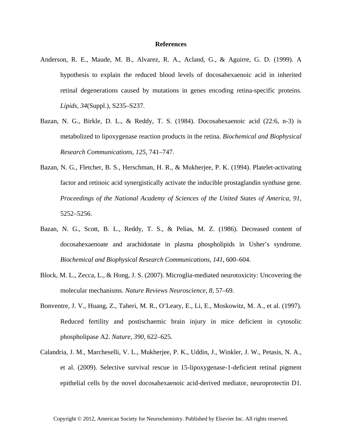## **References**

- Anderson, R. E., Maude, M. B., Alvarez, R. A., Acland, G., & Aguirre, G. D. (1999). A hypothesis to explain the reduced blood levels of docosahexaenoic acid in inherited retinal degenerations caused by mutations in genes encoding retina-specific proteins. *Lipids*, *34*(Suppl.), S235–S237.
- Bazan, N. G., Birkle, D. L., & Reddy, T. S. (1984). Docosahexaenoic acid (22:6, n-3) is metabolized to lipoxygenase reaction products in the retina. *Biochemical and Biophysical Research Communications*, *125*, 741–747.
- Bazan, N. G., Fletcher, B. S., Herschman, H. R., & Mukherjee, P. K. (1994). Platelet-activating factor and retinoic acid synergistically activate the inducible prostaglandin synthase gene. *Proceedings of the National Academy of Sciences of the United States of America*, *91*, 5252–5256.
- Bazan, N. G., Scott, B. L., Reddy, T. S., & Pelias, M. Z. (1986). Decreased content of docosahexaenoate and arachidonate in plasma phospholipids in Usher's syndrome. *Biochemical and Biophysical Research Communications*, *141*, 600–604.
- Block, M. L., Zecca, L., & Hong, J. S. (2007). Microglia-mediated neurotoxicity: Uncovering the molecular mechanisms. *Nature Reviews Neuroscience*, *8*, 57–69.
- Bonventre, J. V., Huang, Z., Taheri, M. R., O'Leary, E., Li, E., Moskowitz, M. A., et al. (1997). Reduced fertility and postischaemic brain injury in mice deficient in cytosolic phospholipase A2. *Nature*, *390*, 622–625.
- Calandria, J. M., Marcheselli, V. L., Mukherjee, P. K., Uddin, J., Winkler, J. W., Petasis, N. A., et al. (2009). Selective survival rescue in 15-lipoxygenase-1-deficient retinal pigment epithelial cells by the novel docosahexaenoic acid-derived mediator, neuroprotectin D1.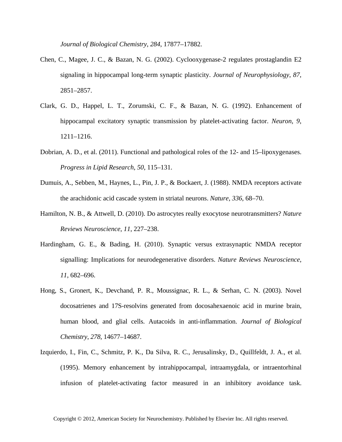*Journal of Biological Chemistry*, *284*, 17877–17882.

- Chen, C., Magee, J. C., & Bazan, N. G. (2002). Cyclooxygenase-2 regulates prostaglandin E2 signaling in hippocampal long-term synaptic plasticity. *Journal of Neurophysiology*, *87*, 2851–2857.
- Clark, G. D., Happel, L. T., Zorumski, C. F., & Bazan, N. G. (1992). Enhancement of hippocampal excitatory synaptic transmission by platelet-activating factor. *Neuron*, *9*, 1211–1216.
- Dobrian, A. D., et al. (2011). Functional and pathological roles of the 12- and 15–lipoxygenases. *Progress in Lipid Research*, *50*, 115–131.
- Dumuis, A., Sebben, M., Haynes, L., Pin, J. P., & Bockaert, J. (1988). NMDA receptors activate the arachidonic acid cascade system in striatal neurons. *Nature*, *336*, 68–70.
- Hamilton, N. B., & Attwell, D. (2010). Do astrocytes really exocytose neurotransmitters? *Nature Reviews Neuroscience*, *11*, 227–238.
- Hardingham, G. E., & Bading, H. (2010). Synaptic versus extrasynaptic NMDA receptor signalling: Implications for neurodegenerative disorders. *Nature Reviews Neuroscience*, *11*, 682–696.
- Hong, S., Gronert, K., Devchand, P. R., Moussignac, R. L., & Serhan, C. N. (2003). Novel docosatrienes and 17S-resolvins generated from docosahexaenoic acid in murine brain, human blood, and glial cells. Autacoids in anti-inflammation. *Journal of Biological Chemistry*, *278*, 14677–14687.
- Izquierdo, I., Fin, C., Schmitz, P. K., Da Silva, R. C., Jerusalinsky, D., Quillfeldt, J. A., et al. (1995). Memory enhancement by intrahippocampal, intraamygdala, or intraentorhinal infusion of platelet-activating factor measured in an inhibitory avoidance task.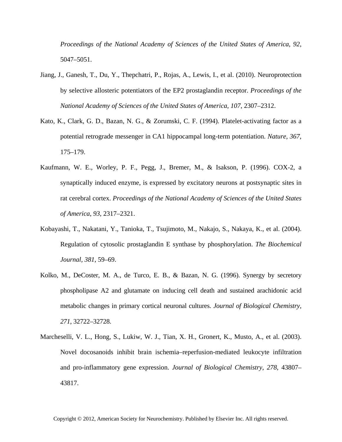*Proceedings of the National Academy of Sciences of the United States of America*, *92*, 5047–5051.

- Jiang, J., Ganesh, T., Du, Y., Thepchatri, P., Rojas, A., Lewis, I., et al. (2010). Neuroprotection by selective allosteric potentiators of the EP2 prostaglandin receptor. *Proceedings of the National Academy of Sciences of the United States of America*, *107*, 2307–2312.
- Kato, K., Clark, G. D., Bazan, N. G., & Zorumski, C. F. (1994). Platelet-activating factor as a potential retrograde messenger in CA1 hippocampal long-term potentiation. *Nature*, *367*, 175–179.
- Kaufmann, W. E., Worley, P. F., Pegg, J., Bremer, M., & Isakson, P. (1996). COX-2, a synaptically induced enzyme, is expressed by excitatory neurons at postsynaptic sites in rat cerebral cortex. *Proceedings of the National Academy of Sciences of the United States of America*, *93*, 2317–2321.
- Kobayashi, T., Nakatani, Y., Tanioka, T., Tsujimoto, M., Nakajo, S., Nakaya, K., et al. (2004). Regulation of cytosolic prostaglandin E synthase by phosphorylation. *The Biochemical Journal*, *381*, 59–69.
- Kolko, M., DeCoster, M. A., de Turco, E. B., & Bazan, N. G. (1996). Synergy by secretory phospholipase A2 and glutamate on inducing cell death and sustained arachidonic acid metabolic changes in primary cortical neuronal cultures. *Journal of Biological Chemistry*, *271*, 32722–32728.
- Marcheselli, V. L., Hong, S., Lukiw, W. J., Tian, X. H., Gronert, K., Musto, A., et al. (2003). Novel docosanoids inhibit brain ischemia–reperfusion-mediated leukocyte infiltration and pro-inflammatory gene expression. *Journal of Biological Chemistry*, *278*, 43807– 43817.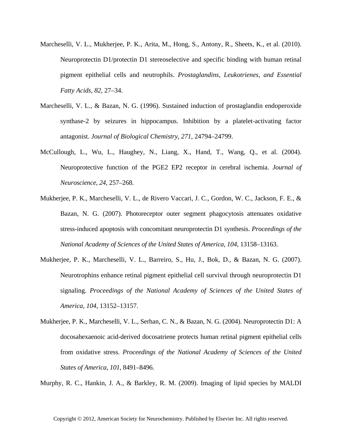- Marcheselli, V. L., Mukherjee, P. K., Arita, M., Hong, S., Antony, R., Sheets, K., et al. (2010). Neuroprotectin D1/protectin D1 stereoselective and specific binding with human retinal pigment epithelial cells and neutrophils. *Prostaglandins, Leukotrienes, and Essential Fatty Acids*, *82*, 27–34.
- Marcheselli, V. L., & Bazan, N. G. (1996). Sustained induction of prostaglandin endoperoxide synthase-2 by seizures in hippocampus. Inhibition by a platelet-activating factor antagonist. *Journal of Biological Chemistry*, *271*, 24794–24799.
- McCullough, L., Wu, L., Haughey, N., Liang, X., Hand, T., Wang, Q., et al. (2004). Neuroprotective function of the PGE2 EP2 receptor in cerebral ischemia. *Journal of Neuroscience*, *24*, 257–268.
- Mukherjee, P. K., Marcheselli, V. L., de Rivero Vaccari, J. C., Gordon, W. C., Jackson, F. E., & Bazan, N. G. (2007). Photoreceptor outer segment phagocytosis attenuates oxidative stress-induced apoptosis with concomitant neuroprotectin D1 synthesis. *Proceedings of the National Academy of Sciences of the United States of America*, *104*, 13158–13163.
- Mukherjee, P. K., Marcheselli, V. L., Barreiro, S., Hu, J., Bok, D., & Bazan, N. G. (2007). Neurotrophins enhance retinal pigment epithelial cell survival through neuroprotectin D1 signaling. *Proceedings of the National Academy of Sciences of the United States of America*, *104*, 13152–13157.
- Mukherjee, P. K., Marcheselli, V. L., Serhan, C. N., & Bazan, N. G. (2004). Neuroprotectin D1: A docosahexaenoic acid-derived docosatriene protects human retinal pigment epithelial cells from oxidative stress. *Proceedings of the National Academy of Sciences of the United States of America*, *101*, 8491–8496.

Murphy, R. C., Hankin, J. A., & Barkley, R. M. (2009). Imaging of lipid species by MALDI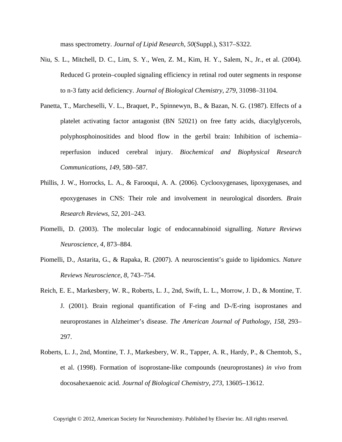mass spectrometry. *Journal of Lipid Research*, *50*(Suppl.), S317–S322.

- Niu, S. L., Mitchell, D. C., Lim, S. Y., Wen, Z. M., Kim, H. Y., Salem, N., Jr., et al. (2004). Reduced G protein–coupled signaling efficiency in retinal rod outer segments in response to n-3 fatty acid deficiency. *Journal of Biological Chemistry*, *279*, 31098–31104.
- Panetta, T., Marcheselli, V. L., Braquet, P., Spinnewyn, B., & Bazan, N. G. (1987). Effects of a platelet activating factor antagonist (BN 52021) on free fatty acids, diacylglycerols, polyphosphoinositides and blood flow in the gerbil brain: Inhibition of ischemia– reperfusion induced cerebral injury. *Biochemical and Biophysical Research Communications*, *149*, 580–587.
- Phillis, J. W., Horrocks, L. A., & Farooqui, A. A. (2006). Cyclooxygenases, lipoxygenases, and epoxygenases in CNS: Their role and involvement in neurological disorders. *Brain Research Reviews*, *52*, 201–243.
- Piomelli, D. (2003). The molecular logic of endocannabinoid signalling. *Nature Reviews Neuroscience*, *4*, 873–884.
- Piomelli, D., Astarita, G., & Rapaka, R. (2007). A neuroscientist's guide to lipidomics. *Nature Reviews Neuroscience*, *8*, 743–754.
- Reich, E. E., Markesbery, W. R., Roberts, L. J., 2nd, Swift, L. L., Morrow, J. D., & Montine, T. J. (2001). Brain regional quantification of F-ring and D-/E-ring isoprostanes and neuroprostanes in Alzheimer's disease. *The American Journal of Pathology*, *158*, 293– 297.
- Roberts, L. J., 2nd, Montine, T. J., Markesbery, W. R., Tapper, A. R., Hardy, P., & Chemtob, S., et al. (1998). Formation of isoprostane-like compounds (neuroprostanes) *in vivo* from docosahexaenoic acid. *Journal of Biological Chemistry*, *273*, 13605–13612.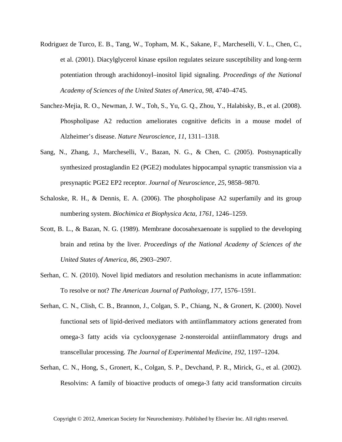- Rodriguez de Turco, E. B., Tang, W., Topham, M. K., Sakane, F., Marcheselli, V. L., Chen, C., et al. (2001). Diacylglycerol kinase epsilon regulates seizure susceptibility and long-term potentiation through arachidonoyl–inositol lipid signaling. *Proceedings of the National Academy of Sciences of the United States of America*, *98*, 4740–4745.
- Sanchez-Mejia, R. O., Newman, J. W., Toh, S., Yu, G. Q., Zhou, Y., Halabisky, B., et al. (2008). Phospholipase A2 reduction ameliorates cognitive deficits in a mouse model of Alzheimer's disease. *Nature Neuroscience*, *11*, 1311–1318.
- Sang, N., Zhang, J., Marcheselli, V., Bazan, N. G., & Chen, C. (2005). Postsynaptically synthesized prostaglandin E2 (PGE2) modulates hippocampal synaptic transmission via a presynaptic PGE2 EP2 receptor. *Journal of Neuroscience*, *25*, 9858–9870.
- Schaloske, R. H., & Dennis, E. A. (2006). The phospholipase A2 superfamily and its group numbering system. *Biochimica et Biophysica Acta*, *1761*, 1246–1259.
- Scott, B. L., & Bazan, N. G. (1989). Membrane docosahexaenoate is supplied to the developing brain and retina by the liver. *Proceedings of the National Academy of Sciences of the United States of America*, *86*, 2903–2907.
- Serhan, C. N. (2010). Novel lipid mediators and resolution mechanisms in acute inflammation: To resolve or not? *The American Journal of Pathology*, *177*, 1576–1591.
- Serhan, C. N., Clish, C. B., Brannon, J., Colgan, S. P., Chiang, N., & Gronert, K. (2000). Novel functional sets of lipid-derived mediators with antiinflammatory actions generated from omega-3 fatty acids via cyclooxygenase 2-nonsteroidal antiinflammatory drugs and transcellular processing. *The Journal of Experimental Medicine*, *192*, 1197–1204.
- Serhan, C. N., Hong, S., Gronert, K., Colgan, S. P., Devchand, P. R., Mirick, G., et al. (2002). Resolvins: A family of bioactive products of omega-3 fatty acid transformation circuits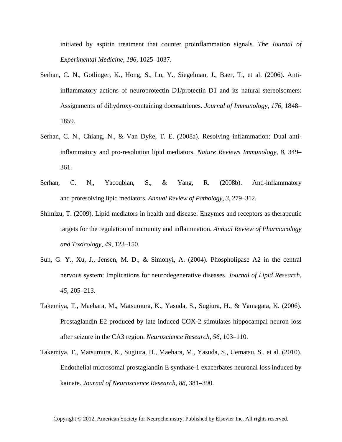initiated by aspirin treatment that counter proinflammation signals. *The Journal of Experimental Medicine*, *196*, 1025–1037.

- Serhan, C. N., Gotlinger, K., Hong, S., Lu, Y., Siegelman, J., Baer, T., et al. (2006). Antiinflammatory actions of neuroprotectin D1/protectin D1 and its natural stereoisomers: Assignments of dihydroxy-containing docosatrienes. *Journal of Immunology*, *176*, 1848– 1859.
- Serhan, C. N., Chiang, N., & Van Dyke, T. E. (2008a). Resolving inflammation: Dual antiinflammatory and pro-resolution lipid mediators. *Nature Reviews Immunology*, *8*, 349– 361.
- Serhan, C. N., Yacoubian, S., & Yang, R. (2008b). Anti-inflammatory and proresolving lipid mediators. *Annual Review of Pathology*, *3*, 279–312.
- Shimizu, T. (2009). Lipid mediators in health and disease: Enzymes and receptors as therapeutic targets for the regulation of immunity and inflammation. *Annual Review of Pharmacology and Toxicology*, *49*, 123–150.
- Sun, G. Y., Xu, J., Jensen, M. D., & Simonyi, A. (2004). Phospholipase A2 in the central nervous system: Implications for neurodegenerative diseases. *Journal of Lipid Research*, *45*, 205–213.
- Takemiya, T., Maehara, M., Matsumura, K., Yasuda, S., Sugiura, H., & Yamagata, K. (2006). Prostaglandin E2 produced by late induced COX-2 stimulates hippocampal neuron loss after seizure in the CA3 region. *Neuroscience Research*, *56*, 103–110.
- Takemiya, T., Matsumura, K., Sugiura, H., Maehara, M., Yasuda, S., Uematsu, S., et al. (2010). Endothelial microsomal prostaglandin E synthase-1 exacerbates neuronal loss induced by kainate. *Journal of Neuroscience Research*, *88*, 381–390.